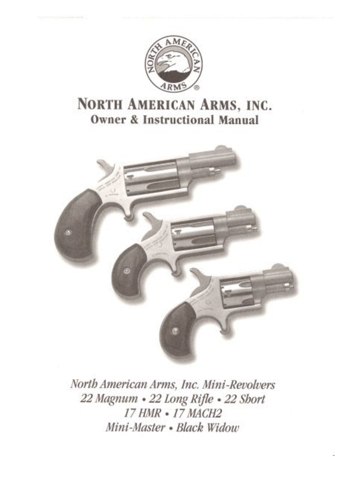

# NORTH AMERICAN ARMS, INC. **Owner & Instructional Manual**



North American Arms, Inc. Mini-Revolvers 22 Magnum · 22 Long Rifle · 22 Short 17 HMR • 17 MACH2 Mini-Master • Black Widow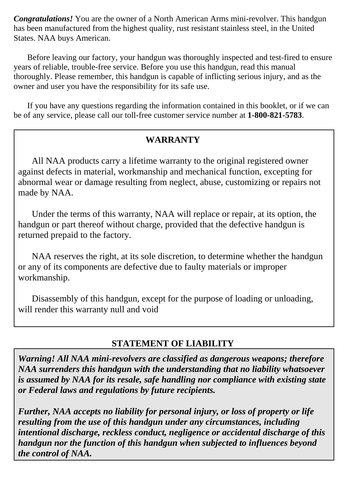*Congratulations!* You are the owner of a North American Arms mini-revolver. This handgun has been manufactured from the highest quality, rust resistant stainless steel, in the United States. NAA buys American.

Before leaving our factory, your handgun was thoroughly inspected and test-fired to ensure years of reliable, trouble-free service. Before you use this handgun, read this manual thoroughly. Please remember, this handgun is capable of inflicting serious injury, and as the owner and user you have the responsibility for its safe use.

If you have any questions regarding the information contained in this booklet, or if we can be of any service, please call our toll-free customer service number at **1-800-821-5783**.

### **WARRANTY**

All NAA products carry a lifetime warranty to the original registered owner against defects in material, workmanship and mechanical function, excepting for abnormal wear or damage resulting from neglect, abuse, customizing or repairs not made by NAA.

Under the terms of this warranty, NAA will replace or repair, at its option, the handgun or part thereof without charge, provided that the defective handgun is returned prepaid to the factory.

NAA reserves the right, at its sole discretion, to determine whether the handgun or any of its components are defective due to faulty materials or improper workmanship.

Disassembly of this handgun, except for the purpose of loading or unloading, will render this warranty null and void

### **STATEMENT OF LIABILITY**

*Warning! All NAA mini-revolvers are classified as dangerous weapons; therefore NAA surrenders this handgun with the understanding that no liability whatsoever is assumed by NAA for its resale, safe handling nor compliance with existing state or Federal laws and regulations by future recipients.* 

*Further, NAA accepts no liability for personal injury, or loss of property or life resulting from the use of this handgun under any circumstances, including intentional discharge, reckless conduct, negligence or accidental discharge of this handgun nor the function of this handgun when subjected to influences beyond the control of NAA.*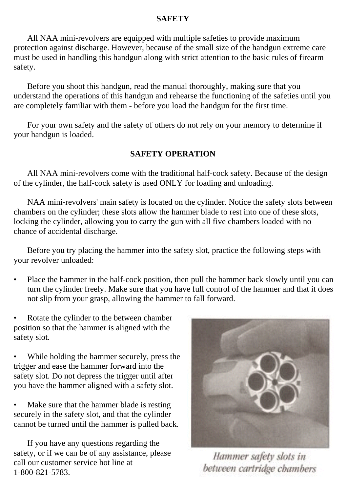#### **SAFETY**

All NAA mini-revolvers are equipped with multiple safeties to provide maximum protection against discharge. However, because of the small size of the handgun extreme care must be used in handling this handgun along with strict attention to the basic rules of firearm safety.

Before you shoot this handgun, read the manual thoroughly, making sure that you understand the operations of this handgun and rehearse the functioning of the safeties until you are completely familiar with them - before you load the handgun for the first time.

For your own safety and the safety of others do not rely on your memory to determine if your handgun is loaded.

#### **SAFETY OPERATION**

All NAA mini-revolvers come with the traditional half-cock safety. Because of the design of the cylinder, the half-cock safety is used ONLY for loading and unloading.

NAA mini-revolvers' main safety is located on the cylinder. Notice the safety slots between chambers on the cylinder; these slots allow the hammer blade to rest into one of these slots, locking the cylinder, allowing you to carry the gun with all five chambers loaded with no chance of accidental discharge.

Before you try placing the hammer into the safety slot, practice the following steps with your revolver unloaded:

- Place the hammer in the half-cock position, then pull the hammer back slowly until you can turn the cylinder freely. Make sure that you have full control of the hammer and that it does not slip from your grasp, allowing the hammer to fall forward.
- Rotate the cylinder to the between chamber position so that the hammer is aligned with the safety slot.
- While holding the hammer securely, press the trigger and ease the hammer forward into the safety slot. Do not depress the trigger until after you have the hammer aligned with a safety slot.
- Make sure that the hammer blade is resting securely in the safety slot, and that the cylinder cannot be turned until the hammer is pulled back.

If you have any questions regarding the safety, or if we can be of any assistance, please call our customer service hot line at 1-800-821-5783.



Hammer safety slots in between cartridge chambers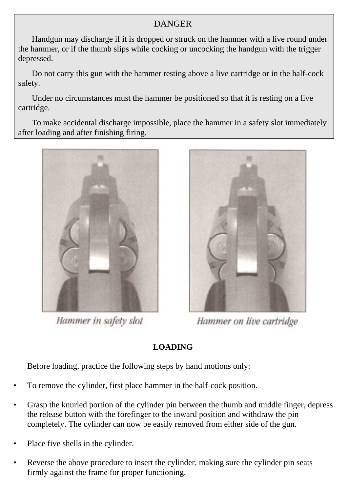### **DANGER**

Handgun may discharge if it is dropped or struck on the hammer with a live round under the hammer, or if the thumb slips while cocking or uncocking the handgun with the trigger depressed.

Do not carry this gun with the hammer resting above a live cartridge or in the half-cock safety.

Under no circumstances must the hammer be positioned so that it is resting on a live cartridge.

To make accidental discharge impossible, place the hammer in a safety slot immediately after loading and after finishing firing.



Hammer in safety slot



Hammer on live cartridge

### **LOADING**

Before loading, practice the following steps by hand motions only:

- To remove the cylinder, first place hammer in the half-cock position.
- Grasp the knurled portion of the cylinder pin between the thumb and middle finger, depress the release button with the forefinger to the inward position and withdraw the pin completely. The cylinder can now be easily removed from either side of the gun.
- Place five shells in the cylinder.
- Reverse the above procedure to insert the cylinder, making sure the cylinder pin seats firmly against the frame for proper functioning.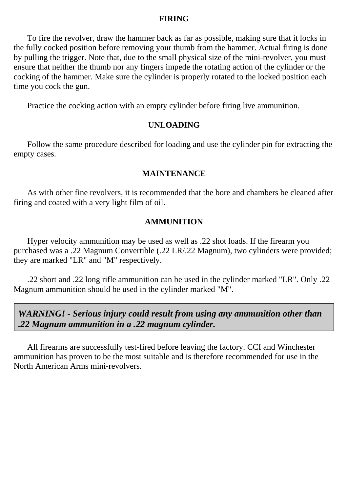#### **FIRING**

To fire the revolver, draw the hammer back as far as possible, making sure that it locks in the fully cocked position before removing your thumb from the hammer. Actual firing is done by pulling the trigger. Note that, due to the small physical size of the mini-revolver, you must ensure that neither the thumb nor any fingers impede the rotating action of the cylinder or the cocking of the hammer. Make sure the cylinder is properly rotated to the locked position each time you cock the gun.

Practice the cocking action with an empty cylinder before firing live ammunition.

#### **UNLOADING**

Follow the same procedure described for loading and use the cylinder pin for extracting the empty cases.

#### **MAINTENANCE**

As with other fine revolvers, it is recommended that the bore and chambers be cleaned after firing and coated with a very light film of oil.

#### **AMMUNITION**

Hyper velocity ammunition may be used as well as .22 shot loads. If the firearm you purchased was a .22 Magnum Convertible (.22 LR/.22 Magnum), two cylinders were provided; they are marked "LR" and "M" respectively.

.22 short and .22 long rifle ammunition can be used in the cylinder marked "LR". Only .22 Magnum ammunition should be used in the cylinder marked "M".

*WARNING! - Serious injury could result from using any ammunition other than .22 Magnum ammunition in a .22 magnum cylinder.*

All firearms are successfully test-fired before leaving the factory. CCI and Winchester ammunition has proven to be the most suitable and is therefore recommended for use in the North American Arms mini-revolvers.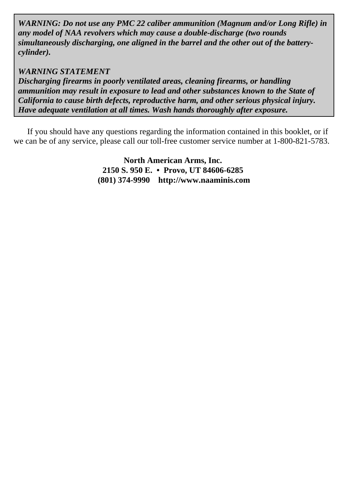*WARNING: Do not use any PMC 22 caliber ammunition (Magnum and/or Long Rifle) in any model of NAA revolvers which may cause a double-discharge (two rounds simultaneously discharging, one aligned in the barrel and the other out of the batterycylinder).*

#### *WARNING STATEMENT*

*Discharging firearms in poorly ventilated areas, cleaning firearms, or handling ammunition may result in exposure to lead and other substances known to the State of California to cause birth defects, reproductive harm, and other serious physical injury. Have adequate ventilation at all times. Wash hands thoroughly after exposure.* 

If you should have any questions regarding the information contained in this booklet, or if we can be of any service, please call our toll-free customer service number at 1-800-821-5783.

> **North American Arms, Inc. 2150 S. 950 E. • Provo, UT 84606-6285 (801) 374-9990 http://www.naaminis.com**